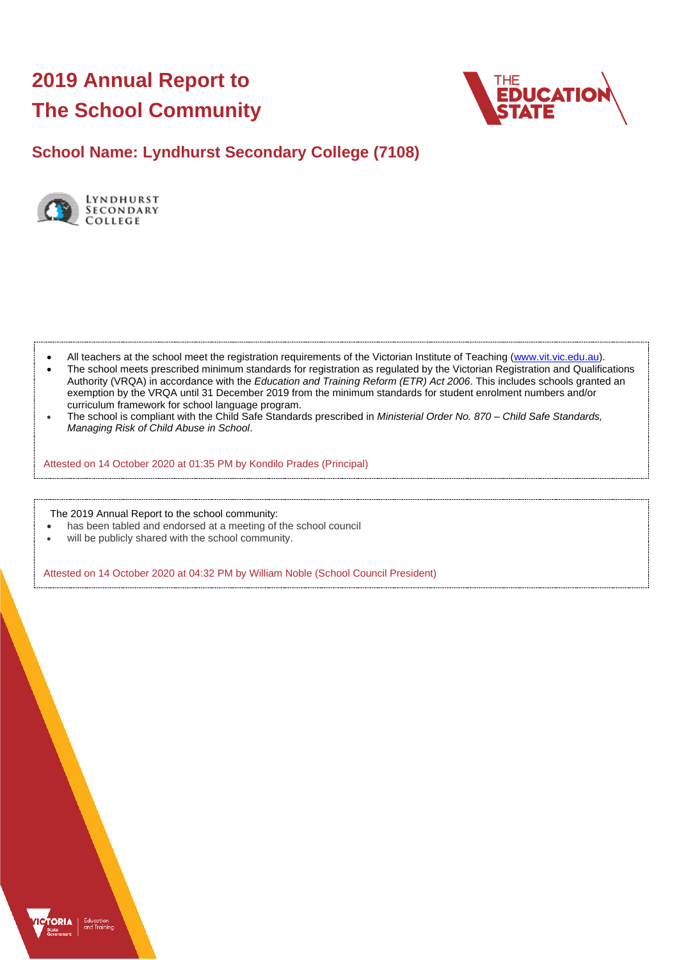# **2019 Annual Report to The School Community**



## **School Name: Lyndhurst Secondary College (7108)**



- All teachers at the school meet the registration requirements of the Victorian Institute of Teaching [\(www.vit.vic.edu.au\)](https://www.vit.vic.edu.au/).
- The school meets prescribed minimum standards for registration as regulated by the Victorian Registration and Qualifications Authority (VRQA) in accordance with the *Education and Training Reform (ETR) Act 2006*. This includes schools granted an exemption by the VRQA until 31 December 2019 from the minimum standards for student enrolment numbers and/or curriculum framework for school language program.
- The school is compliant with the Child Safe Standards prescribed in *Ministerial Order No. 870 – Child Safe Standards, Managing Risk of Child Abuse in School*.

Attested on 14 October 2020 at 01:35 PM by Kondilo Prades (Principal)

The 2019 Annual Report to the school community:

- has been tabled and endorsed at a meeting of the school council
- will be publicly shared with the school community.

Attested on 14 October 2020 at 04:32 PM by William Noble (School Council President)

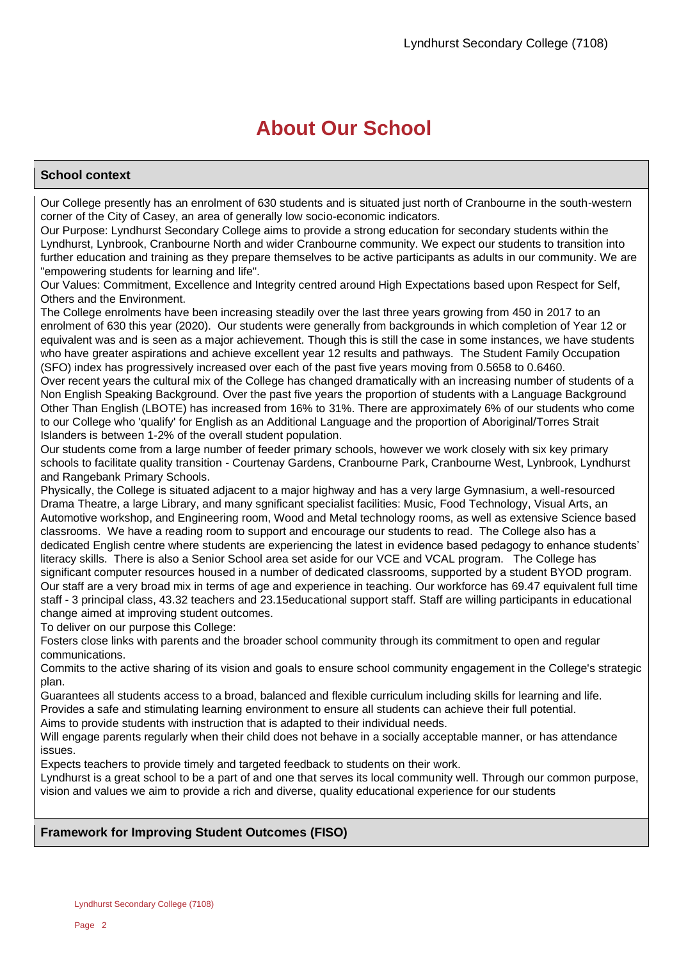## **About Our School**

## **School context**

Our College presently has an enrolment of 630 students and is situated just north of Cranbourne in the south-western corner of the City of Casey, an area of generally low socio-economic indicators.

Our Purpose: Lyndhurst Secondary College aims to provide a strong education for secondary students within the Lyndhurst, Lynbrook, Cranbourne North and wider Cranbourne community. We expect our students to transition into further education and training as they prepare themselves to be active participants as adults in our community. We are "empowering students for learning and life".

Our Values: Commitment, Excellence and Integrity centred around High Expectations based upon Respect for Self, Others and the Environment.

The College enrolments have been increasing steadily over the last three years growing from 450 in 2017 to an enrolment of 630 this year (2020). Our students were generally from backgrounds in which completion of Year 12 or equivalent was and is seen as a major achievement. Though this is still the case in some instances, we have students who have greater aspirations and achieve excellent year 12 results and pathways. The Student Family Occupation (SFO) index has progressively increased over each of the past five years moving from 0.5658 to 0.6460.

Over recent years the cultural mix of the College has changed dramatically with an increasing number of students of a Non English Speaking Background. Over the past five years the proportion of students with a Language Background Other Than English (LBOTE) has increased from 16% to 31%. There are approximately 6% of our students who come to our College who 'qualify' for English as an Additional Language and the proportion of Aboriginal/Torres Strait Islanders is between 1-2% of the overall student population.

Our students come from a large number of feeder primary schools, however we work closely with six key primary schools to facilitate quality transition - Courtenay Gardens, Cranbourne Park, Cranbourne West, Lynbrook, Lyndhurst and Rangebank Primary Schools.

Physically, the College is situated adjacent to a major highway and has a very large Gymnasium, a well-resourced Drama Theatre, a large Library, and many sgnificant specialist facilities: Music, Food Technology, Visual Arts, an Automotive workshop, and Engineering room, Wood and Metal technology rooms, as well as extensive Science based classrooms. We have a reading room to support and encourage our students to read. The College also has a dedicated English centre where students are experiencing the latest in evidence based pedagogy to enhance students' literacy skills. There is also a Senior School area set aside for our VCE and VCAL program. The College has significant computer resources housed in a number of dedicated classrooms, supported by a student BYOD program. Our staff are a very broad mix in terms of age and experience in teaching. Our workforce has 69.47 equivalent full time staff - 3 principal class, 43.32 teachers and 23.15educational support staff. Staff are willing participants in educational change aimed at improving student outcomes.

To deliver on our purpose this College:

Fosters close links with parents and the broader school community through its commitment to open and regular communications.

Commits to the active sharing of its vision and goals to ensure school community engagement in the College's strategic plan.

Guarantees all students access to a broad, balanced and flexible curriculum including skills for learning and life.

Provides a safe and stimulating learning environment to ensure all students can achieve their full potential.

Aims to provide students with instruction that is adapted to their individual needs.

Will engage parents regularly when their child does not behave in a socially acceptable manner, or has attendance issues.

Expects teachers to provide timely and targeted feedback to students on their work.

Lyndhurst is a great school to be a part of and one that serves its local community well. Through our common purpose, vision and values we aim to provide a rich and diverse, quality educational experience for our students

## **Framework for Improving Student Outcomes (FISO)**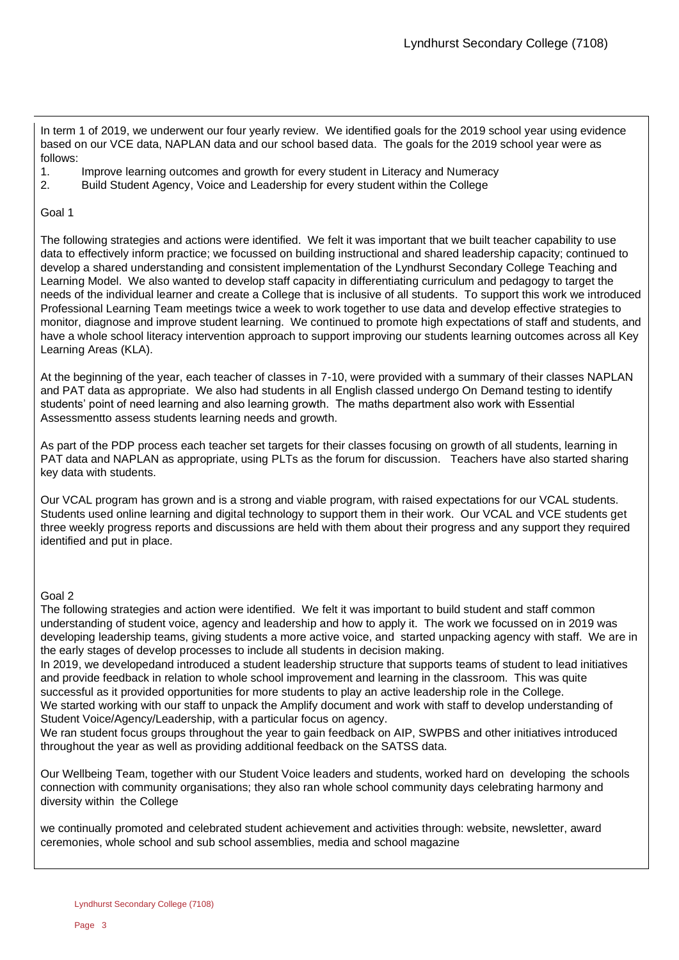In term 1 of 2019, we underwent our four yearly review. We identified goals for the 2019 school year using evidence based on our VCE data, NAPLAN data and our school based data. The goals for the 2019 school year were as follows:

- 1. Improve learning outcomes and growth for every student in Literacy and Numeracy
- 2. Build Student Agency, Voice and Leadership for every student within the College

## Goal 1

The following strategies and actions were identified. We felt it was important that we built teacher capability to use data to effectively inform practice; we focussed on building instructional and shared leadership capacity; continued to develop a shared understanding and consistent implementation of the Lyndhurst Secondary College Teaching and Learning Model. We also wanted to develop staff capacity in differentiating curriculum and pedagogy to target the needs of the individual learner and create a College that is inclusive of all students. To support this work we introduced Professional Learning Team meetings twice a week to work together to use data and develop effective strategies to monitor, diagnose and improve student learning. We continued to promote high expectations of staff and students, and have a whole school literacy intervention approach to support improving our students learning outcomes across all Key Learning Areas (KLA).

At the beginning of the year, each teacher of classes in 7-10, were provided with a summary of their classes NAPLAN and PAT data as appropriate. We also had students in all English classed undergo On Demand testing to identify students' point of need learning and also learning growth. The maths department also work with Essential Assessmentto assess students learning needs and growth.

As part of the PDP process each teacher set targets for their classes focusing on growth of all students, learning in PAT data and NAPLAN as appropriate, using PLTs as the forum for discussion. Teachers have also started sharing key data with students.

Our VCAL program has grown and is a strong and viable program, with raised expectations for our VCAL students. Students used online learning and digital technology to support them in their work. Our VCAL and VCE students get three weekly progress reports and discussions are held with them about their progress and any support they required identified and put in place.

## Goal 2

The following strategies and action were identified. We felt it was important to build student and staff common understanding of student voice, agency and leadership and how to apply it. The work we focussed on in 2019 was developing leadership teams, giving students a more active voice, and started unpacking agency with staff. We are in the early stages of develop processes to include all students in decision making.

In 2019, we developedand introduced a student leadership structure that supports teams of student to lead initiatives and provide feedback in relation to whole school improvement and learning in the classroom. This was quite successful as it provided opportunities for more students to play an active leadership role in the College.

We started working with our staff to unpack the Amplify document and work with staff to develop understanding of Student Voice/Agency/Leadership, with a particular focus on agency.

We ran student focus groups throughout the year to gain feedback on AIP, SWPBS and other initiatives introduced throughout the year as well as providing additional feedback on the SATSS data.

Our Wellbeing Team, together with our Student Voice leaders and students, worked hard on developing the schools connection with community organisations; they also ran whole school community days celebrating harmony and diversity within the College

we continually promoted and celebrated student achievement and activities through: website, newsletter, award ceremonies, whole school and sub school assemblies, media and school magazine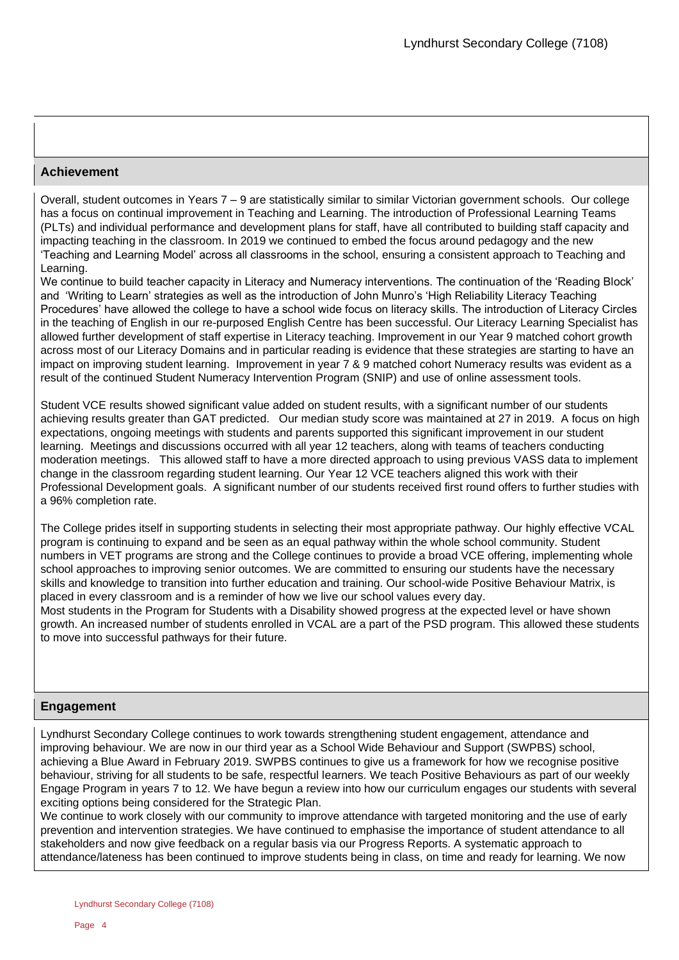## **Achievement**

Overall, student outcomes in Years 7 – 9 are statistically similar to similar Victorian government schools. Our college has a focus on continual improvement in Teaching and Learning. The introduction of Professional Learning Teams (PLTs) and individual performance and development plans for staff, have all contributed to building staff capacity and impacting teaching in the classroom. In 2019 we continued to embed the focus around pedagogy and the new 'Teaching and Learning Model' across all classrooms in the school, ensuring a consistent approach to Teaching and Learning.

We continue to build teacher capacity in Literacy and Numeracy interventions. The continuation of the 'Reading Block' and 'Writing to Learn' strategies as well as the introduction of John Munro's 'High Reliability Literacy Teaching Procedures' have allowed the college to have a school wide focus on literacy skills. The introduction of Literacy Circles in the teaching of English in our re-purposed English Centre has been successful. Our Literacy Learning Specialist has allowed further development of staff expertise in Literacy teaching. Improvement in our Year 9 matched cohort growth across most of our Literacy Domains and in particular reading is evidence that these strategies are starting to have an impact on improving student learning. Improvement in year 7 & 9 matched cohort Numeracy results was evident as a result of the continued Student Numeracy Intervention Program (SNIP) and use of online assessment tools.

Student VCE results showed significant value added on student results, with a significant number of our students achieving results greater than GAT predicted. Our median study score was maintained at 27 in 2019. A focus on high expectations, ongoing meetings with students and parents supported this significant improvement in our student learning. Meetings and discussions occurred with all year 12 teachers, along with teams of teachers conducting moderation meetings. This allowed staff to have a more directed approach to using previous VASS data to implement change in the classroom regarding student learning. Our Year 12 VCE teachers aligned this work with their Professional Development goals. A significant number of our students received first round offers to further studies with a 96% completion rate.

The College prides itself in supporting students in selecting their most appropriate pathway. Our highly effective VCAL program is continuing to expand and be seen as an equal pathway within the whole school community. Student numbers in VET programs are strong and the College continues to provide a broad VCE offering, implementing whole school approaches to improving senior outcomes. We are committed to ensuring our students have the necessary skills and knowledge to transition into further education and training. Our school-wide Positive Behaviour Matrix, is placed in every classroom and is a reminder of how we live our school values every day.

Most students in the Program for Students with a Disability showed progress at the expected level or have shown growth. An increased number of students enrolled in VCAL are a part of the PSD program. This allowed these students to move into successful pathways for their future.

## **Engagement**

Lyndhurst Secondary College continues to work towards strengthening student engagement, attendance and improving behaviour. We are now in our third year as a School Wide Behaviour and Support (SWPBS) school, achieving a Blue Award in February 2019. SWPBS continues to give us a framework for how we recognise positive behaviour, striving for all students to be safe, respectful learners. We teach Positive Behaviours as part of our weekly Engage Program in years 7 to 12. We have begun a review into how our curriculum engages our students with several exciting options being considered for the Strategic Plan.

We continue to work closely with our community to improve attendance with targeted monitoring and the use of early prevention and intervention strategies. We have continued to emphasise the importance of student attendance to all stakeholders and now give feedback on a regular basis via our Progress Reports. A systematic approach to attendance/lateness has been continued to improve students being in class, on time and ready for learning. We now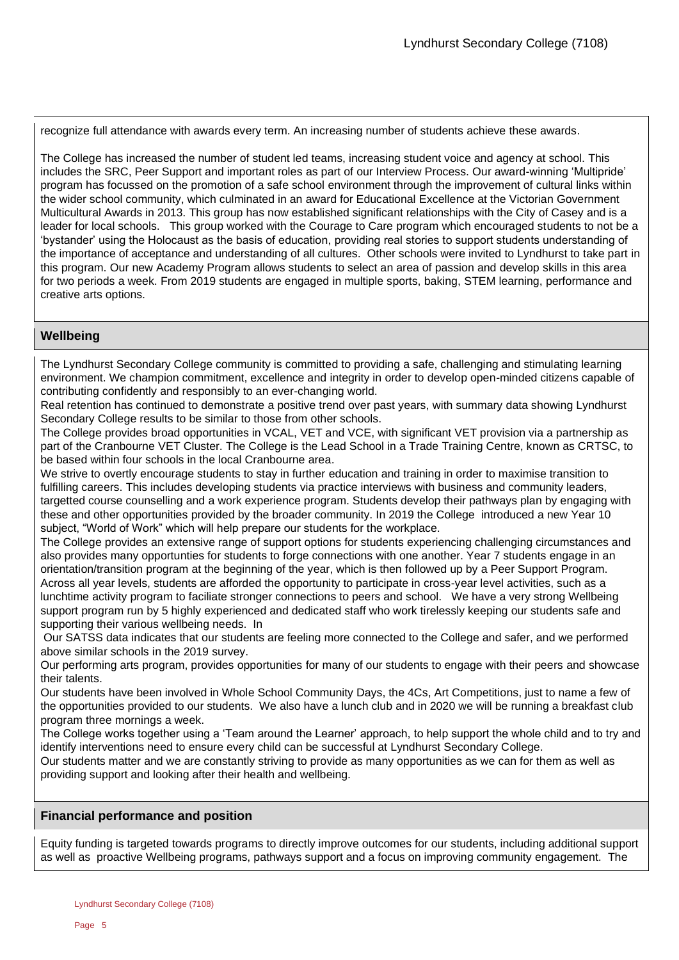recognize full attendance with awards every term. An increasing number of students achieve these awards.

The College has increased the number of student led teams, increasing student voice and agency at school. This includes the SRC, Peer Support and important roles as part of our Interview Process. Our award-winning 'Multipride' program has focussed on the promotion of a safe school environment through the improvement of cultural links within the wider school community, which culminated in an award for Educational Excellence at the Victorian Government Multicultural Awards in 2013. This group has now established significant relationships with the City of Casey and is a leader for local schools. This group worked with the Courage to Care program which encouraged students to not be a 'bystander' using the Holocaust as the basis of education, providing real stories to support students understanding of the importance of acceptance and understanding of all cultures. Other schools were invited to Lyndhurst to take part in this program. Our new Academy Program allows students to select an area of passion and develop skills in this area for two periods a week. From 2019 students are engaged in multiple sports, baking, STEM learning, performance and creative arts options.

## **Wellbeing**

The Lyndhurst Secondary College community is committed to providing a safe, challenging and stimulating learning environment. We champion commitment, excellence and integrity in order to develop open-minded citizens capable of contributing confidently and responsibly to an ever-changing world.

Real retention has continued to demonstrate a positive trend over past years, with summary data showing Lyndhurst Secondary College results to be similar to those from other schools.

The College provides broad opportunities in VCAL, VET and VCE, with significant VET provision via a partnership as part of the Cranbourne VET Cluster. The College is the Lead School in a Trade Training Centre, known as CRTSC, to be based within four schools in the local Cranbourne area.

We strive to overtly encourage students to stay in further education and training in order to maximise transition to fulfilling careers. This includes developing students via practice interviews with business and community leaders, targetted course counselling and a work experience program. Students develop their pathways plan by engaging with these and other opportunities provided by the broader community. In 2019 the College introduced a new Year 10 subject, "World of Work" which will help prepare our students for the workplace.

The College provides an extensive range of support options for students experiencing challenging circumstances and also provides many opportunties for students to forge connections with one another. Year 7 students engage in an orientation/transition program at the beginning of the year, which is then followed up by a Peer Support Program. Across all year levels, students are afforded the opportunity to participate in cross-year level activities, such as a lunchtime activity program to faciliate stronger connections to peers and school. We have a very strong Wellbeing support program run by 5 highly experienced and dedicated staff who work tirelessly keeping our students safe and supporting their various wellbeing needs. In

Our SATSS data indicates that our students are feeling more connected to the College and safer, and we performed above similar schools in the 2019 survey.

Our performing arts program, provides opportunities for many of our students to engage with their peers and showcase their talents.

Our students have been involved in Whole School Community Days, the 4Cs, Art Competitions, just to name a few of the opportunities provided to our students. We also have a lunch club and in 2020 we will be running a breakfast club program three mornings a week.

The College works together using a 'Team around the Learner' approach, to help support the whole child and to try and identify interventions need to ensure every child can be successful at Lyndhurst Secondary College.

Our students matter and we are constantly striving to provide as many opportunities as we can for them as well as providing support and looking after their health and wellbeing.

## **Financial performance and position**

Equity funding is targeted towards programs to directly improve outcomes for our students, including additional support as well as proactive Wellbeing programs, pathways support and a focus on improving community engagement. The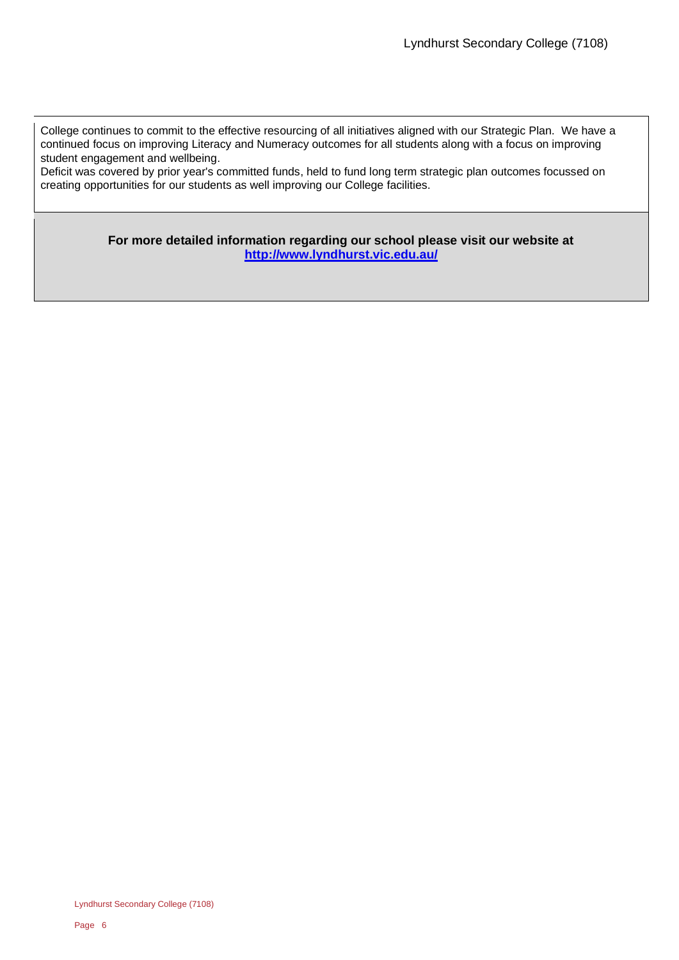College continues to commit to the effective resourcing of all initiatives aligned with our Strategic Plan. We have a continued focus on improving Literacy and Numeracy outcomes for all students along with a focus on improving student engagement and wellbeing.

Deficit was covered by prior year's committed funds, held to fund long term strategic plan outcomes focussed on creating opportunities for our students as well improving our College facilities.

> **For more detailed information regarding our school please visit our website at <http://www.lyndhurst.vic.edu.au/>**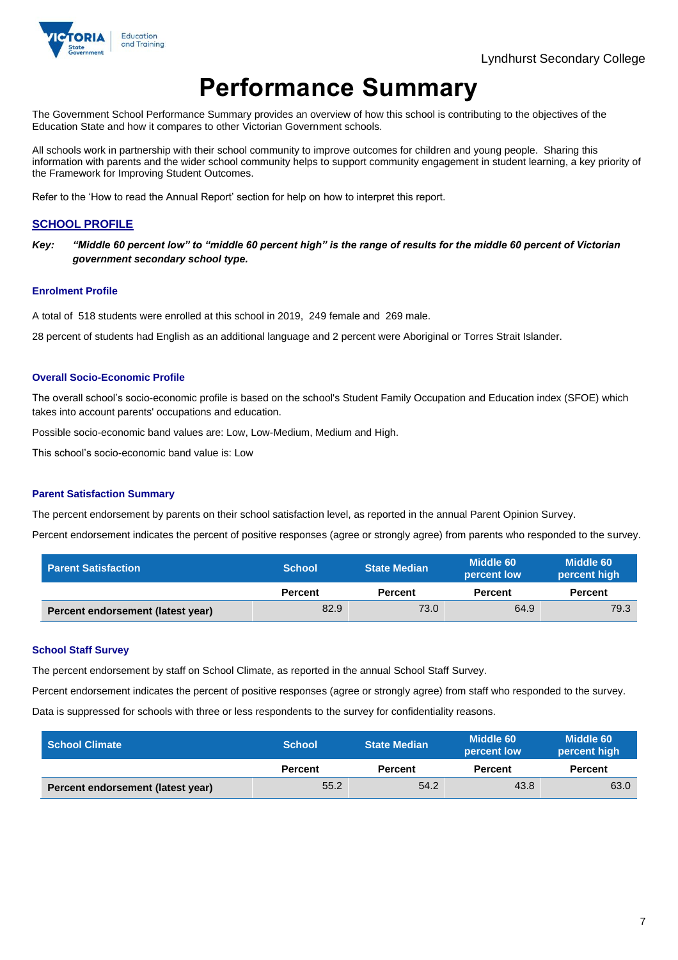

## **Performance Summary**

The Government School Performance Summary provides an overview of how this school is contributing to the objectives of the Education State and how it compares to other Victorian Government schools.

All schools work in partnership with their school community to improve outcomes for children and young people. Sharing this information with parents and the wider school community helps to support community engagement in student learning, a key priority of the Framework for Improving Student Outcomes.

Refer to the 'How to read the Annual Report' section for help on how to interpret this report.

### **SCHOOL PROFILE**

*Key: "Middle 60 percent low" to "middle 60 percent high" is the range of results for the middle 60 percent of Victorian government secondary school type.*

#### **Enrolment Profile**

A total of 518 students were enrolled at this school in 2019, 249 female and 269 male.

28 percent of students had English as an additional language and 2 percent were Aboriginal or Torres Strait Islander.

#### **Overall Socio-Economic Profile**

The overall school's socio-economic profile is based on the school's Student Family Occupation and Education index (SFOE) which takes into account parents' occupations and education.

Possible socio-economic band values are: Low, Low-Medium, Medium and High.

This school's socio-economic band value is: Low

#### **Parent Satisfaction Summary**

The percent endorsement by parents on their school satisfaction level, as reported in the annual Parent Opinion Survey.

Percent endorsement indicates the percent of positive responses (agree or strongly agree) from parents who responded to the survey.

| <b>Parent Satisfaction</b>        | <b>School</b>  | <b>State Median</b> | Middle 60<br>percent low | Middle 60<br>percent high |
|-----------------------------------|----------------|---------------------|--------------------------|---------------------------|
|                                   | <b>Percent</b> | <b>Percent</b>      | <b>Percent</b>           | <b>Percent</b>            |
| Percent endorsement (latest year) | 82.9           | 73.0                | 64.9                     | 79.3                      |

#### **School Staff Survey**

The percent endorsement by staff on School Climate, as reported in the annual School Staff Survey.

Percent endorsement indicates the percent of positive responses (agree or strongly agree) from staff who responded to the survey.

Data is suppressed for schools with three or less respondents to the survey for confidentiality reasons.

| <b>School Climate</b>             | <b>School</b>  | <b>State Median</b> | Middle 60<br>percent low | Middle 60<br>percent high |
|-----------------------------------|----------------|---------------------|--------------------------|---------------------------|
|                                   | <b>Percent</b> | <b>Percent</b>      | <b>Percent</b>           | <b>Percent</b>            |
| Percent endorsement (latest year) | 55.2           | 54.2                | 43.8                     | 63.0                      |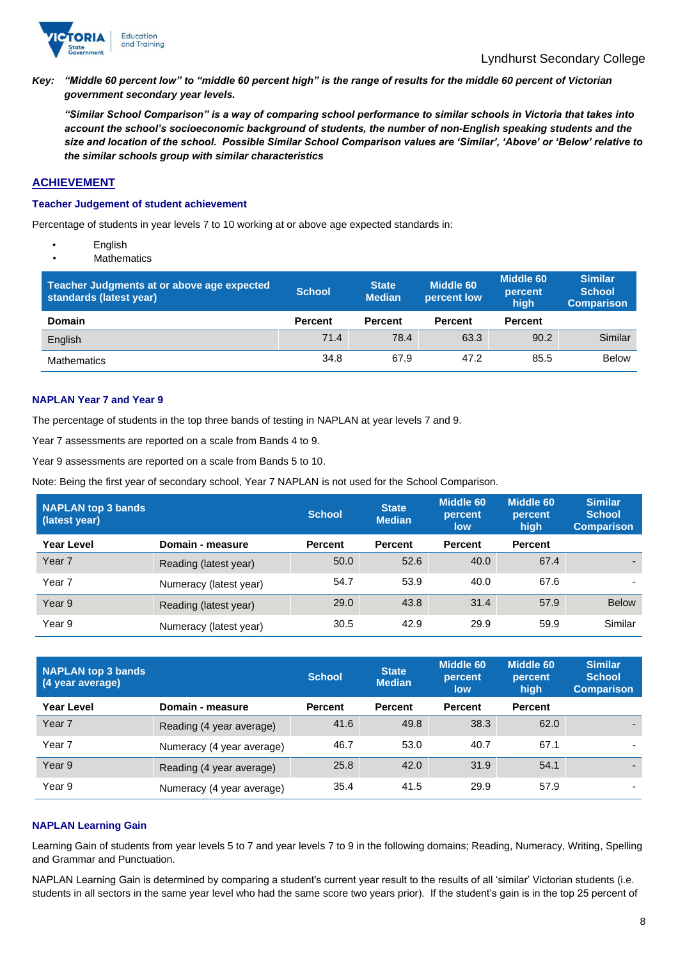

*Key: "Middle 60 percent low" to "middle 60 percent high" is the range of results for the middle 60 percent of Victorian government secondary year levels.*

*"Similar School Comparison" is a way of comparing school performance to similar schools in Victoria that takes into account the school's socioeconomic background of students, the number of non-English speaking students and the size and location of the school. Possible Similar School Comparison values are 'Similar', 'Above' or 'Below' relative to the similar schools group with similar characteristics*

#### **ACHIEVEMENT**

#### **Teacher Judgement of student achievement**

Percentage of students in year levels 7 to 10 working at or above age expected standards in:

- **English**
- **Mathematics**

| Teacher Judgments at or above age expected<br>standards (latest year) | <b>School</b>  | <b>State</b><br><b>Median</b> | Middle 60<br>percent low | <b>Middle 60</b><br>percent<br>high | <b>Similar</b><br><b>School</b><br><b>Comparison</b> |
|-----------------------------------------------------------------------|----------------|-------------------------------|--------------------------|-------------------------------------|------------------------------------------------------|
| <b>Domain</b>                                                         | <b>Percent</b> | <b>Percent</b>                | <b>Percent</b>           | <b>Percent</b>                      |                                                      |
| English                                                               | 71.4           | 78.4                          | 63.3                     | 90.2                                | Similar                                              |
| <b>Mathematics</b>                                                    | 34.8           | 67.9                          | 47.2                     | 85.5                                | <b>Below</b>                                         |

#### **NAPLAN Year 7 and Year 9**

The percentage of students in the top three bands of testing in NAPLAN at year levels 7 and 9.

Year 7 assessments are reported on a scale from Bands 4 to 9.

Year 9 assessments are reported on a scale from Bands 5 to 10.

Note: Being the first year of secondary school, Year 7 NAPLAN is not used for the School Comparison.

| <b>NAPLAN top 3 bands</b><br>(latest year) |                        | <b>School</b>  | <b>State</b><br><b>Median</b> | <b>Middle 60</b><br>percent<br>low | <b>Middle 60</b><br>percent<br>high | <b>Similar</b><br><b>School</b><br><b>Comparison</b> |
|--------------------------------------------|------------------------|----------------|-------------------------------|------------------------------------|-------------------------------------|------------------------------------------------------|
| Year Level                                 | Domain - measure       | <b>Percent</b> | <b>Percent</b>                | <b>Percent</b>                     | <b>Percent</b>                      |                                                      |
| Year <sub>7</sub>                          | Reading (latest year)  | 50.0           | 52.6                          | 40.0                               | 67.4                                |                                                      |
| Year <sub>7</sub>                          | Numeracy (latest year) | 54.7           | 53.9                          | 40.0                               | 67.6                                |                                                      |
| Year <sub>9</sub>                          | Reading (latest year)  | 29.0           | 43.8                          | 31.4                               | 57.9                                | <b>Below</b>                                         |
| Year 9                                     | Numeracy (latest year) | 30.5           | 42.9                          | 29.9                               | 59.9                                | Similar                                              |

| NAPLAN top 3 bands<br>(4 year average) |                           | <b>School</b> | <b>State</b><br><b>Median</b> | Middle 60<br>percent<br>low | <b>Middle 60</b><br>percent<br>high | <b>Similar</b><br><b>School</b><br><b>Comparison</b> |
|----------------------------------------|---------------------------|---------------|-------------------------------|-----------------------------|-------------------------------------|------------------------------------------------------|
| <b>Year Level</b>                      | Domain - measure          | Percent       | <b>Percent</b>                | <b>Percent</b>              | <b>Percent</b>                      |                                                      |
| Year <sub>7</sub>                      | Reading (4 year average)  | 41.6          | 49.8                          | 38.3                        | 62.0                                |                                                      |
| Year <sub>7</sub>                      | Numeracy (4 year average) | 46.7          | 53.0                          | 40.7                        | 67.1                                |                                                      |
| Year 9                                 | Reading (4 year average)  | 25.8          | 42.0                          | 31.9                        | 54.1                                |                                                      |
| Year 9                                 | Numeracy (4 year average) | 35.4          | 41.5                          | 29.9                        | 57.9                                |                                                      |

#### **NAPLAN Learning Gain**

Learning Gain of students from year levels 5 to 7 and year levels 7 to 9 in the following domains; Reading, Numeracy, Writing, Spelling and Grammar and Punctuation.

NAPLAN Learning Gain is determined by comparing a student's current year result to the results of all 'similar' Victorian students (i.e. students in all sectors in the same year level who had the same score two years prior). If the student's gain is in the top 25 percent of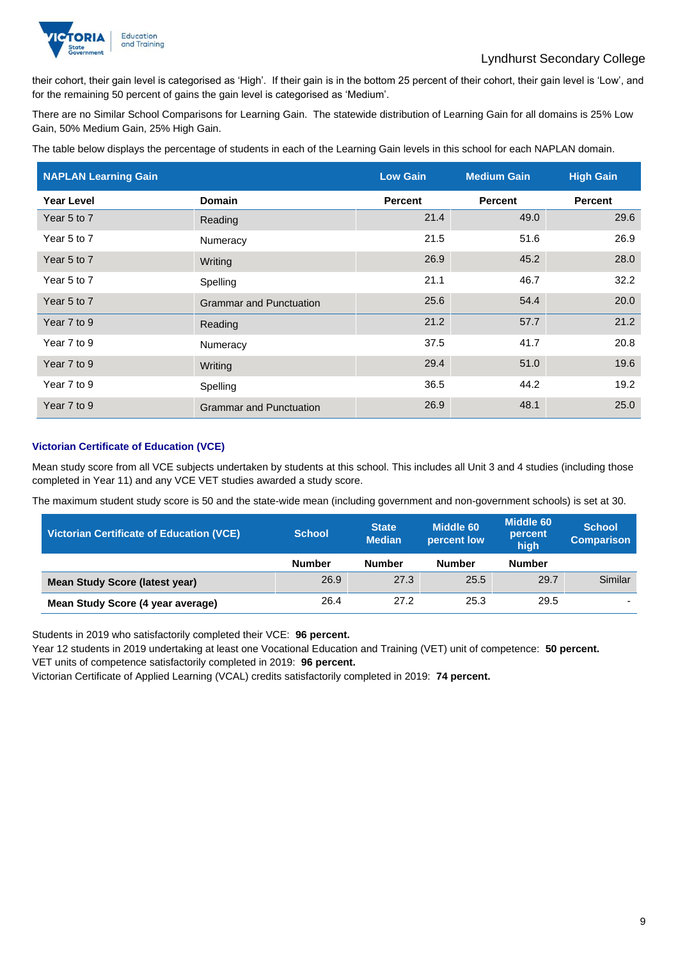

their cohort, their gain level is categorised as 'High'. If their gain is in the bottom 25 percent of their cohort, their gain level is 'Low', and for the remaining 50 percent of gains the gain level is categorised as 'Medium'.

There are no Similar School Comparisons for Learning Gain. The statewide distribution of Learning Gain for all domains is 25% Low Gain, 50% Medium Gain, 25% High Gain.

The table below displays the percentage of students in each of the Learning Gain levels in this school for each NAPLAN domain.

| <b>NAPLAN Learning Gain</b> |                                | <b>Low Gain</b> | <b>Medium Gain</b> | <b>High Gain</b> |
|-----------------------------|--------------------------------|-----------------|--------------------|------------------|
| <b>Year Level</b>           | <b>Domain</b>                  | <b>Percent</b>  | <b>Percent</b>     | <b>Percent</b>   |
| Year 5 to 7                 | Reading                        | 21.4            | 49.0               | 29.6             |
| Year 5 to 7                 | Numeracy                       | 21.5            | 51.6               | 26.9             |
| Year 5 to 7                 | Writing                        | 26.9            | 45.2               | 28.0             |
| Year 5 to 7                 | Spelling                       | 21.1            | 46.7               | 32.2             |
| Year 5 to 7                 | <b>Grammar and Punctuation</b> | 25.6            | 54.4               | 20.0             |
| Year 7 to 9                 | Reading                        | 21.2            | 57.7               | 21.2             |
| Year 7 to 9                 | Numeracy                       | 37.5            | 41.7               | 20.8             |
| Year 7 to 9                 | Writing                        | 29.4            | 51.0               | 19.6             |
| Year 7 to 9                 | Spelling                       | 36.5            | 44.2               | 19.2             |
| Year 7 to 9                 | <b>Grammar and Punctuation</b> | 26.9            | 48.1               | 25.0             |

### **Victorian Certificate of Education (VCE)**

Mean study score from all VCE subjects undertaken by students at this school. This includes all Unit 3 and 4 studies (including those completed in Year 11) and any VCE VET studies awarded a study score.

The maximum student study score is 50 and the state-wide mean (including government and non-government schools) is set at 30.

| <b>Victorian Certificate of Education (VCE)</b> | <b>School</b> | <b>State</b><br><b>Median</b> | <b>Middle 60</b><br>percent low | <b>Middle 60</b><br>percent<br>high | <b>School</b><br><b>Comparison</b> |
|-------------------------------------------------|---------------|-------------------------------|---------------------------------|-------------------------------------|------------------------------------|
|                                                 | <b>Number</b> | <b>Number</b>                 | <b>Number</b>                   | <b>Number</b>                       |                                    |
| <b>Mean Study Score (latest year)</b>           | 26.9          | 27.3                          | 25.5                            | 29.7                                | Similar                            |
| Mean Study Score (4 year average)               | 26.4          | 27.2                          | 25.3                            | 29.5                                | $\overline{\phantom{0}}$           |

Students in 2019 who satisfactorily completed their VCE: **96 percent.**

Year 12 students in 2019 undertaking at least one Vocational Education and Training (VET) unit of competence: **50 percent.** VET units of competence satisfactorily completed in 2019: **96 percent.**

Victorian Certificate of Applied Learning (VCAL) credits satisfactorily completed in 2019: **74 percent.**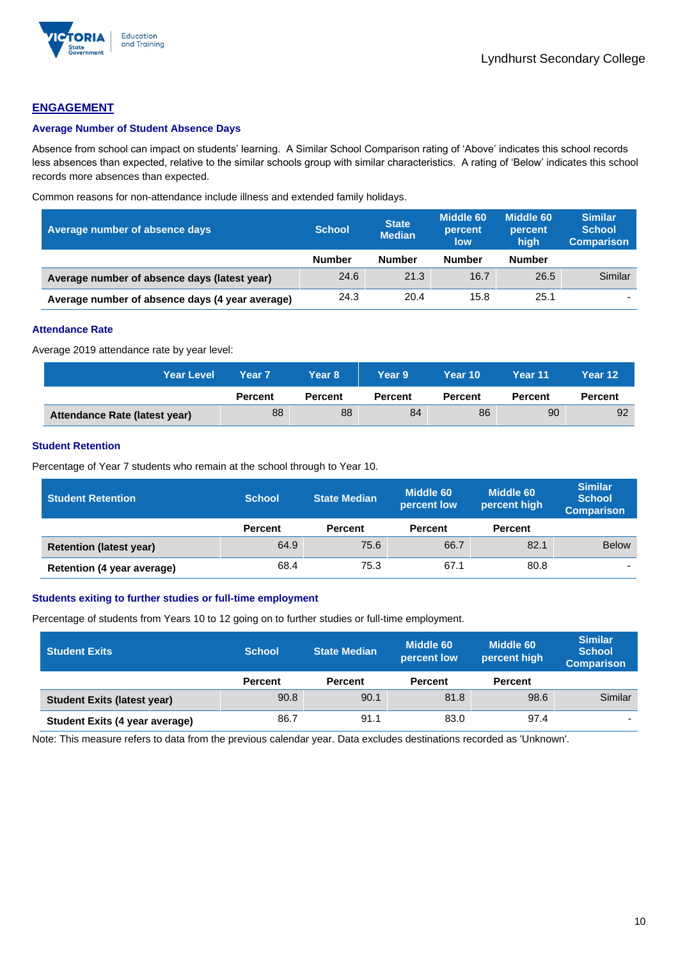

## **ENGAGEMENT**

#### **Average Number of Student Absence Days**

Absence from school can impact on students' learning. A Similar School Comparison rating of 'Above' indicates this school records less absences than expected, relative to the similar schools group with similar characteristics. A rating of 'Below' indicates this school records more absences than expected.

Common reasons for non-attendance include illness and extended family holidays.

| Average number of absence days                  | <b>School</b> | State<br><b>Median</b> | Middle 60<br>percent<br>low | Middle 60<br>percent<br>high | <b>Similar</b><br><b>School</b><br><b>Comparison</b> |
|-------------------------------------------------|---------------|------------------------|-----------------------------|------------------------------|------------------------------------------------------|
|                                                 | <b>Number</b> | <b>Number</b>          | <b>Number</b>               | <b>Number</b>                |                                                      |
| Average number of absence days (latest year)    | 24.6          | 21.3                   | 16.7                        | 26.5                         | Similar                                              |
| Average number of absence days (4 year average) | 24.3          | 20.4                   | 15.8                        | 25.1                         | $\overline{\phantom{a}}$                             |

#### **Attendance Rate**

Average 2019 attendance rate by year level:

| <b>Year Level</b>             | Year 7         | Year 8'        | Year 9         | Year 10'       | Year 11        | Year 12        |
|-------------------------------|----------------|----------------|----------------|----------------|----------------|----------------|
|                               | <b>Percent</b> | <b>Percent</b> | <b>Percent</b> | <b>Percent</b> | <b>Percent</b> | <b>Percent</b> |
| Attendance Rate (latest year) | 88             | 88             | 84             | 86             | 90             | 92             |

### **Student Retention**

Percentage of Year 7 students who remain at the school through to Year 10.

| <b>Student Retention</b>       | <b>School</b>  | <b>State Median</b> | Middle 60<br>percent low | <b>Middle 60</b><br>percent high | <b>Similar</b><br><b>School</b><br><b>Comparison</b> |
|--------------------------------|----------------|---------------------|--------------------------|----------------------------------|------------------------------------------------------|
|                                | <b>Percent</b> | <b>Percent</b>      | <b>Percent</b>           | <b>Percent</b>                   |                                                      |
| <b>Retention (latest year)</b> | 64.9           | 75.6                | 66.7                     | 82.1                             | <b>Below</b>                                         |
| Retention (4 year average)     | 68.4           | 75.3                | 67.1                     | 80.8                             | ۰                                                    |

#### **Students exiting to further studies or full-time employment**

Percentage of students from Years 10 to 12 going on to further studies or full-time employment.

| <b>Student Exits</b>               | <b>School</b>  | <b>State Median</b> | <b>Middle 60</b><br>percent low | <b>Middle 60</b><br>percent high | <b>Similar</b><br><b>School</b><br><b>Comparison</b> |
|------------------------------------|----------------|---------------------|---------------------------------|----------------------------------|------------------------------------------------------|
|                                    | <b>Percent</b> | <b>Percent</b>      | <b>Percent</b>                  | <b>Percent</b>                   |                                                      |
| <b>Student Exits (latest year)</b> | 90.8           | 90.1                | 81.8                            | 98.6                             | Similar                                              |
| Student Exits (4 year average)     | 86.7           | 91.1                | 83.0                            | 97.4                             |                                                      |

Note: This measure refers to data from the previous calendar year. Data excludes destinations recorded as 'Unknown'.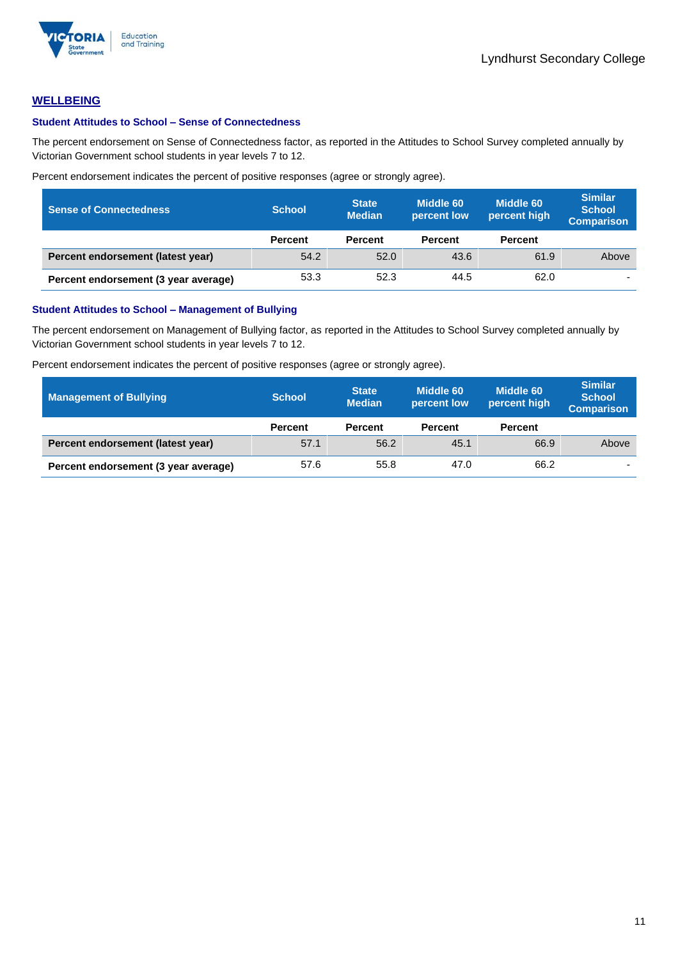

## **WELLBEING**

#### **Student Attitudes to School – Sense of Connectedness**

The percent endorsement on Sense of Connectedness factor, as reported in the Attitudes to School Survey completed annually by Victorian Government school students in year levels 7 to 12.

Percent endorsement indicates the percent of positive responses (agree or strongly agree).

| <b>Sense of Connectedness</b>        | <b>School</b>  | <b>State</b><br><b>Median</b> | Middle 60<br>percent low | Middle 60<br>percent high | <b>Similar</b><br><b>School</b><br><b>Comparison</b> |
|--------------------------------------|----------------|-------------------------------|--------------------------|---------------------------|------------------------------------------------------|
|                                      | <b>Percent</b> | <b>Percent</b>                | <b>Percent</b>           | <b>Percent</b>            |                                                      |
| Percent endorsement (latest year)    | 54.2           | 52.0                          | 43.6                     | 61.9                      | Above                                                |
| Percent endorsement (3 year average) | 53.3           | 52.3                          | 44.5                     | 62.0                      | $\overline{\phantom{0}}$                             |

#### **Student Attitudes to School – Management of Bullying**

The percent endorsement on Management of Bullying factor, as reported in the Attitudes to School Survey completed annually by Victorian Government school students in year levels 7 to 12.

Percent endorsement indicates the percent of positive responses (agree or strongly agree).

| <b>Management of Bullying</b>        | <b>School</b>  | <b>State</b><br><b>Median</b> | Middle 60<br>percent low | Middle 60<br>percent high | <b>Similar</b><br><b>School</b><br><b>Comparison</b> |
|--------------------------------------|----------------|-------------------------------|--------------------------|---------------------------|------------------------------------------------------|
|                                      | <b>Percent</b> | <b>Percent</b>                | <b>Percent</b>           | <b>Percent</b>            |                                                      |
| Percent endorsement (latest year)    | 57.1           | 56.2                          | 45.1                     | 66.9                      | Above                                                |
| Percent endorsement (3 year average) | 57.6           | 55.8                          | 47.0                     | 66.2                      | -                                                    |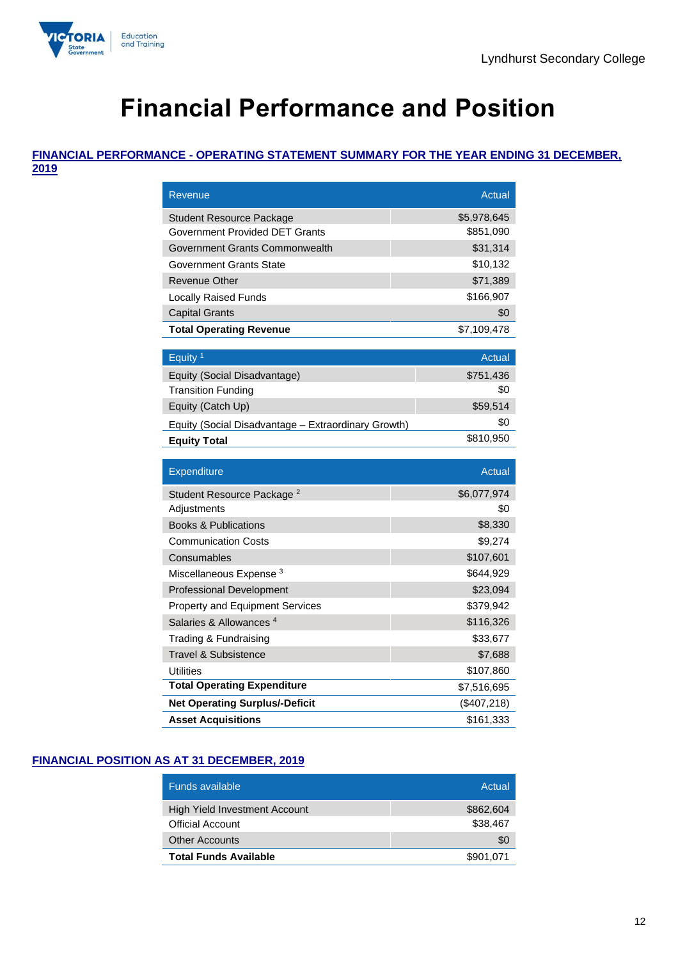

# **Financial Performance and Position**

### **FINANCIAL PERFORMANCE - OPERATING STATEMENT SUMMARY FOR THE YEAR ENDING 31 DECEMBER, 2019**

| <b>Revenue</b>                                            | <b>Actual</b>   |
|-----------------------------------------------------------|-----------------|
| Student Resource Package                                  | \$5,978,645     |
| Government Provided DET Grants                            | \$851,090       |
| Government Grants Commonwealth                            | \$31,314        |
| Government Grants State                                   | \$10,132        |
| <b>Revenue Other</b>                                      | \$71,389        |
| <b>Locally Raised Funds</b>                               | \$166,907       |
| <b>Capital Grants</b>                                     | \$0             |
| <b>Total Operating Revenue</b>                            | \$7,109,478     |
| Equity <sup>1</sup>                                       | Actual          |
|                                                           |                 |
| Equity (Social Disadvantage)<br><b>Transition Funding</b> | \$751,436       |
|                                                           | \$0<br>\$59,514 |
| Equity (Catch Up)                                         | \$0             |
| Equity (Social Disadvantage - Extraordinary Growth)       |                 |
| <b>Equity Total</b>                                       | \$810,950       |
|                                                           |                 |
| <b>Expenditure</b>                                        | Actual          |
| Student Resource Package <sup>2</sup>                     | \$6,077,974     |
| Adjustments                                               | \$0             |
| <b>Books &amp; Publications</b>                           | \$8,330         |
| <b>Communication Costs</b>                                | \$9,274         |
| Consumables                                               | \$107,601       |
| Miscellaneous Expense <sup>3</sup>                        | \$644,929       |
| <b>Professional Development</b>                           | \$23,094        |
| Property and Equipment Services                           | \$379,942       |
| Salaries & Allowances <sup>4</sup>                        | \$116,326       |
| Trading & Fundraising                                     | \$33,677        |
| Travel & Subsistence                                      | \$7,688         |
| Utilities                                                 | \$107,860       |
| <b>Total Operating Expenditure</b>                        | \$7,516,695     |
| <b>Net Operating Surplus/-Deficit</b>                     | (\$407,218)     |

## **FINANCIAL POSITION AS AT 31 DECEMBER, 2019**

| <b>Funds available</b>        | Actual    |
|-------------------------------|-----------|
| High Yield Investment Account | \$862,604 |
| <b>Official Account</b>       | \$38,467  |
| <b>Other Accounts</b>         | \$0       |
| <b>Total Funds Available</b>  | \$901,071 |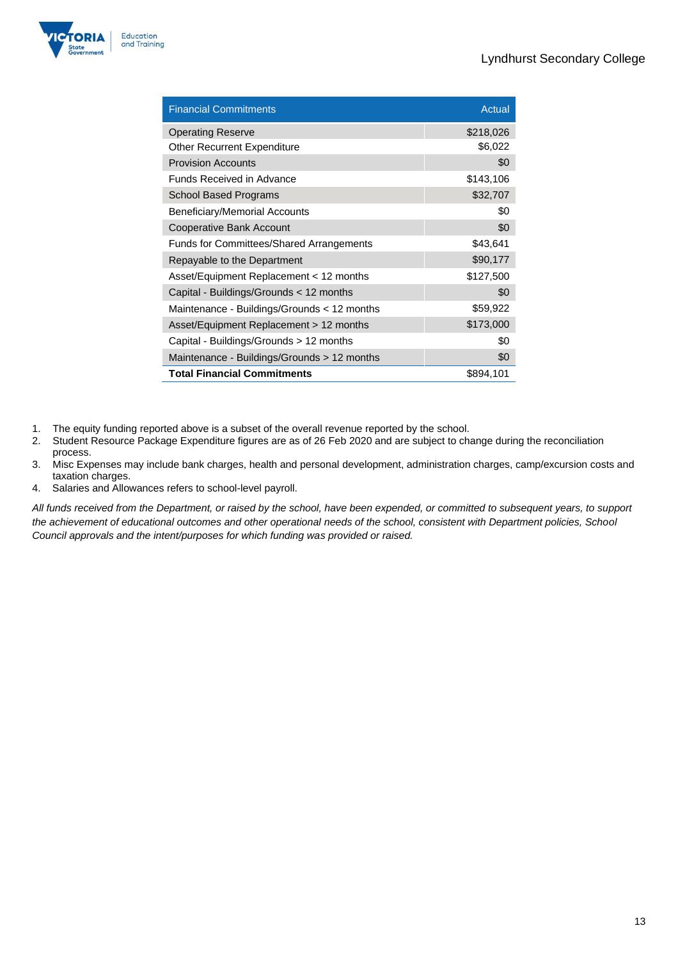

| <b>Financial Commitments</b>                    | Actual    |
|-------------------------------------------------|-----------|
| <b>Operating Reserve</b>                        | \$218,026 |
| <b>Other Recurrent Expenditure</b>              | \$6,022   |
| <b>Provision Accounts</b>                       | \$0       |
| Funds Received in Advance                       | \$143,106 |
| <b>School Based Programs</b>                    | \$32,707  |
| <b>Beneficiary/Memorial Accounts</b>            | \$0       |
| Cooperative Bank Account                        | \$0       |
| <b>Funds for Committees/Shared Arrangements</b> | \$43,641  |
| Repayable to the Department                     | \$90,177  |
| Asset/Equipment Replacement < 12 months         | \$127,500 |
| Capital - Buildings/Grounds < 12 months         | \$0       |
| Maintenance - Buildings/Grounds < 12 months     | \$59,922  |
| Asset/Equipment Replacement > 12 months         | \$173,000 |
| Capital - Buildings/Grounds > 12 months         | \$0       |
| Maintenance - Buildings/Grounds > 12 months     | \$0       |
| <b>Total Financial Commitments</b>              | \$894,101 |

- 1. The equity funding reported above is a subset of the overall revenue reported by the school.
- 2. Student Resource Package Expenditure figures are as of 26 Feb 2020 and are subject to change during the reconciliation process.
- 3. Misc Expenses may include bank charges, health and personal development, administration charges, camp/excursion costs and taxation charges.
- 4. Salaries and Allowances refers to school-level payroll.

*All funds received from the Department, or raised by the school, have been expended, or committed to subsequent years, to support the achievement of educational outcomes and other operational needs of the school, consistent with Department policies, School Council approvals and the intent/purposes for which funding was provided or raised.*